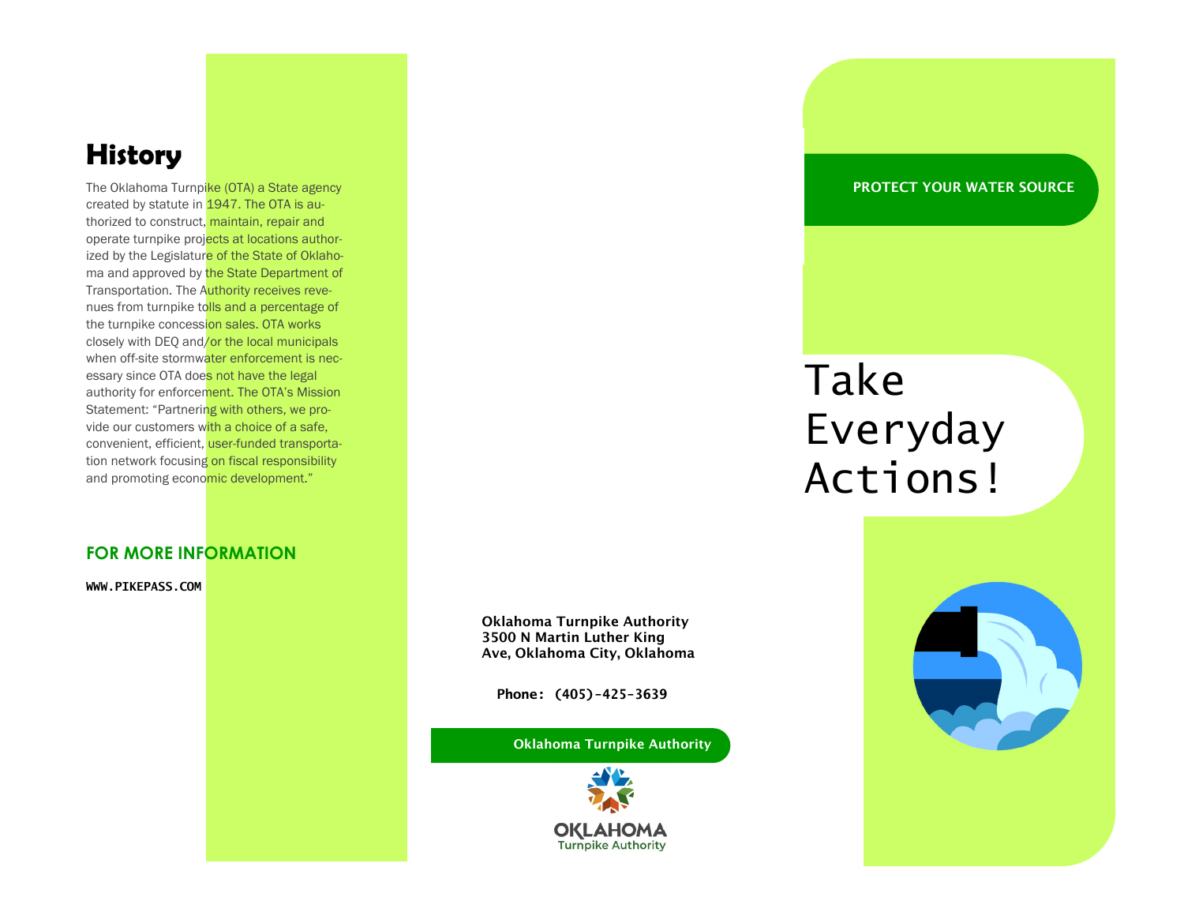# **History**

The Oklahoma Turnpike (OTA) a State agency created by statute in 1947. The OTA is authorized to construct, maintain, repair and operate turnpike projects at locations authorized by the Legislature of the State of Oklahoma and approved by the State Department of Transportation. The Authority receives revenues from turnpike tolls and a percentage of the turnpike concession sales. OTA works closely with DEQ and/or the local municipals when off-site stormwater enforcement is necessary since OTA does not have the legal authority for enforcement. The OTA's Mission Statement: "Partnering with others, we provide our customers with a choice of a safe, convenient, efficient, user-funded transportation network focusing on fiscal responsibility and promoting economic development."

### **FOR MORE INFORMATION**

**WWW.PIKEPASS.COM** 

PROTECT YOUR WATER SOURCE

# Take Everyday Actions!



Oklahoma Turnpike Authority 3500 N Martin Luther King Ave, Oklahoma City, Oklahoma

**Phone: (405)-425-3639** 

Oklahoma Turnpike Authority